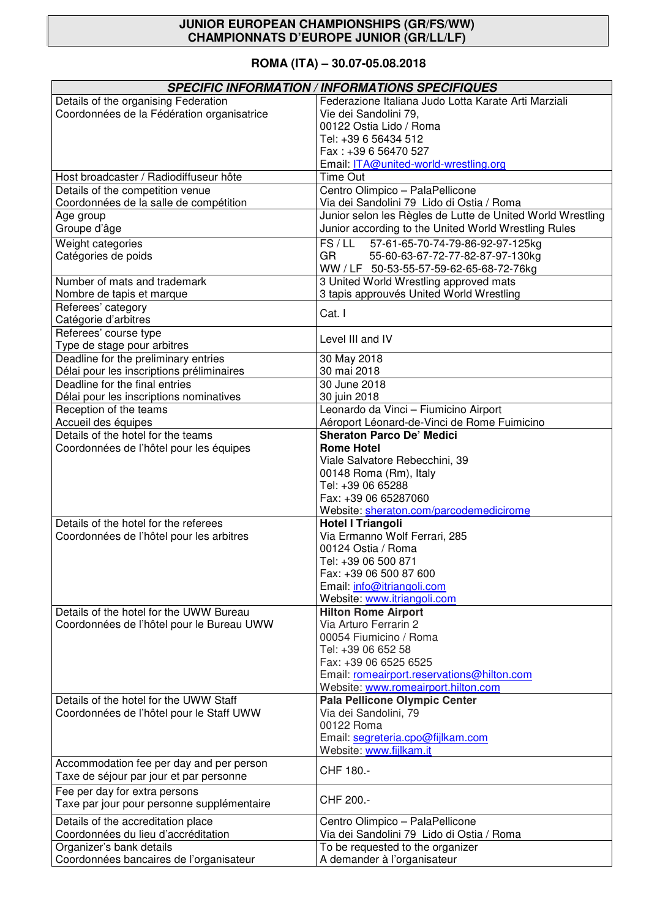## **JUNIOR EUROPEAN CHAMPIONSHIPS (GR/FS/WW) CHAMPIONNATS D'EUROPE JUNIOR (GR/LL/LF)**

## **ROMA (ITA) – 30.07-05.08.2018**

|                                                 | <b>SPECIFIC INFORMATION / INFORMATIONS SPECIFIQUES</b>                             |
|-------------------------------------------------|------------------------------------------------------------------------------------|
| Details of the organising Federation            | Federazione Italiana Judo Lotta Karate Arti Marziali                               |
| Coordonnées de la Fédération organisatrice      | Vie dei Sandolini 79,                                                              |
|                                                 | 00122 Ostia Lido / Roma                                                            |
|                                                 | Tel: +39 6 56434 512                                                               |
|                                                 | Fax: +39 6 56470 527                                                               |
|                                                 | Email: ITA@united-world-wrestling.org                                              |
| Host broadcaster / Radiodiffuseur hôte          | <b>Time Out</b>                                                                    |
| Details of the competition venue                | Centro Olimpico - PalaPellicone                                                    |
| Coordonnées de la salle de compétition          | Via dei Sandolini 79 Lido di Ostia / Roma                                          |
| Age group                                       | Junior selon les Règles de Lutte de United World Wrestling                         |
| Groupe d'âge                                    | Junior according to the United World Wrestling Rules                               |
| Weight categories                               | 57-61-65-70-74-79-86-92-97-125kg<br>FS/LL                                          |
| Catégories de poids                             | <b>GR</b><br>55-60-63-67-72-77-82-87-97-130kg                                      |
| Number of mats and trademark                    | WW / LF 50-53-55-57-59-62-65-68-72-76kg                                            |
|                                                 | 3 United World Wrestling approved mats<br>3 tapis approuvés United World Wrestling |
| Nombre de tapis et marque<br>Referees' category |                                                                                    |
| Catégorie d'arbitres                            | Cat. I                                                                             |
| Referees' course type                           |                                                                                    |
| Type de stage pour arbitres                     | Level III and IV                                                                   |
| Deadline for the preliminary entries            | 30 May 2018                                                                        |
| Délai pour les inscriptions préliminaires       | 30 mai 2018                                                                        |
| Deadline for the final entries                  | 30 June 2018                                                                       |
| Délai pour les inscriptions nominatives         | 30 juin 2018                                                                       |
| Reception of the teams                          | Leonardo da Vinci - Fiumicino Airport                                              |
| Accueil des équipes                             | Aéroport Léonard-de-Vinci de Rome Fuimicino                                        |
| Details of the hotel for the teams              | <b>Sheraton Parco De' Medici</b>                                                   |
| Coordonnées de l'hôtel pour les équipes         | <b>Rome Hotel</b>                                                                  |
|                                                 | Viale Salvatore Rebecchini, 39                                                     |
|                                                 | 00148 Roma (Rm), Italy                                                             |
|                                                 | Tel: +39 06 65288                                                                  |
|                                                 | Fax: +39 06 65287060                                                               |
| Details of the hotel for the referees           | Website: sheraton.com/parcodemedicirome<br><b>Hotel I Triangoli</b>                |
| Coordonnées de l'hôtel pour les arbitres        | Via Ermanno Wolf Ferrari, 285                                                      |
|                                                 | 00124 Ostia / Roma                                                                 |
|                                                 | Tel: +39 06 500 871                                                                |
|                                                 | Fax: +39 06 500 87 600                                                             |
|                                                 | Email: info@itriangoli.com                                                         |
|                                                 | Website: www.itriangoli.com                                                        |
| Details of the hotel for the UWW Bureau         | <b>Hilton Rome Airport</b>                                                         |
| Coordonnées de l'hôtel pour le Bureau UWW       | Via Arturo Ferrarin 2                                                              |
|                                                 | 00054 Fiumicino / Roma                                                             |
|                                                 | Tel: +39 06 652 58                                                                 |
|                                                 | Fax: +39 06 6525 6525                                                              |
|                                                 | Email: romeairport.reservations@hilton.com                                         |
| Details of the hotel for the UWW Staff          | Website: www.romeairport.hilton.com<br>Pala Pellicone Olympic Center               |
| Coordonnées de l'hôtel pour le Staff UWW        | Via dei Sandolini, 79                                                              |
|                                                 | 00122 Roma                                                                         |
|                                                 | Email: segreteria.cpo@fijlkam.com                                                  |
|                                                 | Website: www.fijlkam.it                                                            |
| Accommodation fee per day and per person        |                                                                                    |
| Taxe de séjour par jour et par personne         | CHF 180 -                                                                          |
| Fee per day for extra persons                   |                                                                                    |
| Taxe par jour pour personne supplémentaire      | CHF 200 -                                                                          |
| Details of the accreditation place              | Centro Olimpico - PalaPellicone                                                    |
| Coordonnées du lieu d'accréditation             | Via dei Sandolini 79 Lido di Ostia / Roma                                          |
| Organizer's bank details                        | To be requested to the organizer                                                   |
| Coordonnées bancaires de l'organisateur         | A demander à l'organisateur                                                        |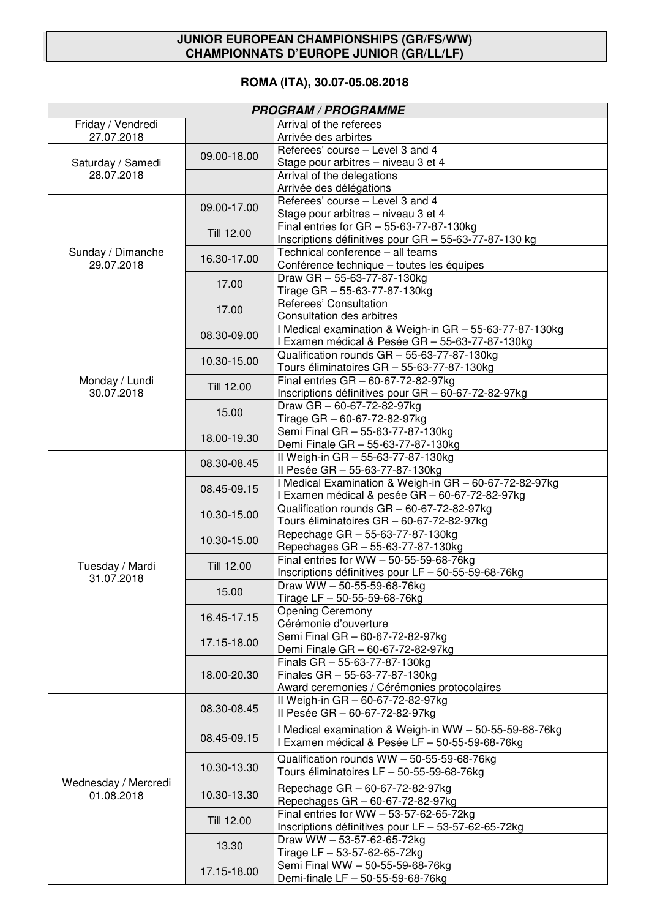## **JUNIOR EUROPEAN CHAMPIONSHIPS (GR/FS/WW) CHAMPIONNATS D'EUROPE JUNIOR (GR/LL/LF)**

## **ROMA (ITA), 30.07-05.08.2018**

| <b>PROGRAM / PROGRAMME</b>         |             |                                                                                   |  |  |
|------------------------------------|-------------|-----------------------------------------------------------------------------------|--|--|
| Friday / Vendredi                  |             | Arrival of the referees                                                           |  |  |
| 27.07.2018                         |             | Arrivée des arbirtes                                                              |  |  |
|                                    | 09.00-18.00 | Referees' course - Level 3 and 4                                                  |  |  |
| Saturday / Samedi                  |             | Stage pour arbitres - niveau 3 et 4                                               |  |  |
| 28.07.2018                         |             | Arrival of the delegations                                                        |  |  |
|                                    |             | Arrivée des délégations<br>Referees' course - Level 3 and 4                       |  |  |
|                                    | 09.00-17.00 | Stage pour arbitres - niveau 3 et 4                                               |  |  |
|                                    |             | Final entries for GR - 55-63-77-87-130kg                                          |  |  |
|                                    | Till 12.00  | Inscriptions définitives pour GR - 55-63-77-87-130 kg                             |  |  |
| Sunday / Dimanche                  |             | Technical conference - all teams                                                  |  |  |
| 29.07.2018                         | 16.30-17.00 | Conférence technique - toutes les équipes                                         |  |  |
|                                    | 17.00       | Draw GR - 55-63-77-87-130kg                                                       |  |  |
|                                    |             | Tirage GR - 55-63-77-87-130kg                                                     |  |  |
|                                    | 17.00       | Referees' Consultation                                                            |  |  |
|                                    |             | Consultation des arbitres                                                         |  |  |
|                                    | 08.30-09.00 | I Medical examination & Weigh-in GR - 55-63-77-87-130kg                           |  |  |
|                                    |             | I Examen médical & Pesée GR - 55-63-77-87-130kg                                   |  |  |
|                                    | 10.30-15.00 | Qualification rounds GR - 55-63-77-87-130kg                                       |  |  |
|                                    |             | Tours éliminatoires GR - 55-63-77-87-130kg                                        |  |  |
| Monday / Lundi                     | Till 12.00  | Final entries $GR - 60-67-72-82-97kg$                                             |  |  |
| 30.07.2018                         |             | Inscriptions définitives pour GR - 60-67-72-82-97kg                               |  |  |
|                                    | 15.00       | Draw GR - 60-67-72-82-97kg                                                        |  |  |
|                                    |             | Tirage GR - 60-67-72-82-97kg<br>Semi Final GR - 55-63-77-87-130kg                 |  |  |
|                                    | 18.00-19.30 | Demi Finale GR - 55-63-77-87-130kg                                                |  |  |
|                                    |             | Il Weigh-in GR - 55-63-77-87-130kg                                                |  |  |
|                                    | 08.30-08.45 | Il Pesée GR - 55-63-77-87-130kg                                                   |  |  |
|                                    | 08.45-09.15 | I Medical Examination & Weigh-in GR - 60-67-72-82-97kg                            |  |  |
|                                    |             | I Examen médical & pesée GR - 60-67-72-82-97kg                                    |  |  |
|                                    |             | Qualification rounds GR - 60-67-72-82-97kg                                        |  |  |
|                                    | 10.30-15.00 | Tours éliminatoires GR - 60-67-72-82-97kg                                         |  |  |
|                                    | 10.30-15.00 | Repechage GR - 55-63-77-87-130kg                                                  |  |  |
|                                    |             | Repechages GR - 55-63-77-87-130kg                                                 |  |  |
| Tuesday / Mardi                    | Till 12.00  | Final entries for $WW - 50 - 55 - 59 - 68 - 76$ kg                                |  |  |
| 31.07.2018                         |             | Inscriptions définitives pour LF - 50-55-59-68-76kg                               |  |  |
|                                    | 15.00       | Draw WW - 50-55-59-68-76kg                                                        |  |  |
|                                    |             | Tirage LF - 50-55-59-68-76kg                                                      |  |  |
|                                    | 16.45-17.15 | <b>Opening Ceremony</b>                                                           |  |  |
|                                    |             | Cérémonie d'ouverture                                                             |  |  |
|                                    | 17.15-18.00 | Semi Final GR - 60-67-72-82-97kg<br>Demi Finale GR - 60-67-72-82-97kg             |  |  |
|                                    | 18.00-20.30 | Finals GR - 55-63-77-87-130kg                                                     |  |  |
|                                    |             | Finales GR - 55-63-77-87-130kg                                                    |  |  |
|                                    |             | Award ceremonies / Cérémonies protocolaires                                       |  |  |
|                                    |             | Il Weigh-in GR - 60-67-72-82-97kg                                                 |  |  |
|                                    | 08.30-08.45 | Il Pesée GR - 60-67-72-82-97kg                                                    |  |  |
|                                    |             | I Medical examination & Weigh-in WW - 50-55-59-68-76kg                            |  |  |
|                                    | 08.45-09.15 | I Examen médical & Pesée LF - 50-55-59-68-76kg                                    |  |  |
|                                    |             |                                                                                   |  |  |
| Wednesday / Mercredi<br>01.08.2018 | 10.30-13.30 | Qualification rounds WW - 50-55-59-68-76kg                                        |  |  |
|                                    |             | Tours éliminatoires LF - 50-55-59-68-76kg                                         |  |  |
|                                    | 10.30-13.30 | Repechage GR - 60-67-72-82-97kg                                                   |  |  |
|                                    |             | Repechages GR - 60-67-72-82-97kg                                                  |  |  |
|                                    | Till 12.00  | Final entries for WW $-53-57-62-65-72kg$                                          |  |  |
|                                    | 13.30       | Inscriptions définitives pour LF - 53-57-62-65-72kg<br>Draw WW - 53-57-62-65-72kg |  |  |
|                                    |             | Tirage LF - 53-57-62-65-72kg                                                      |  |  |
|                                    |             | Semi Final WW - 50-55-59-68-76kg                                                  |  |  |
|                                    | 17.15-18.00 | Demi-finale LF - 50-55-59-68-76kg                                                 |  |  |